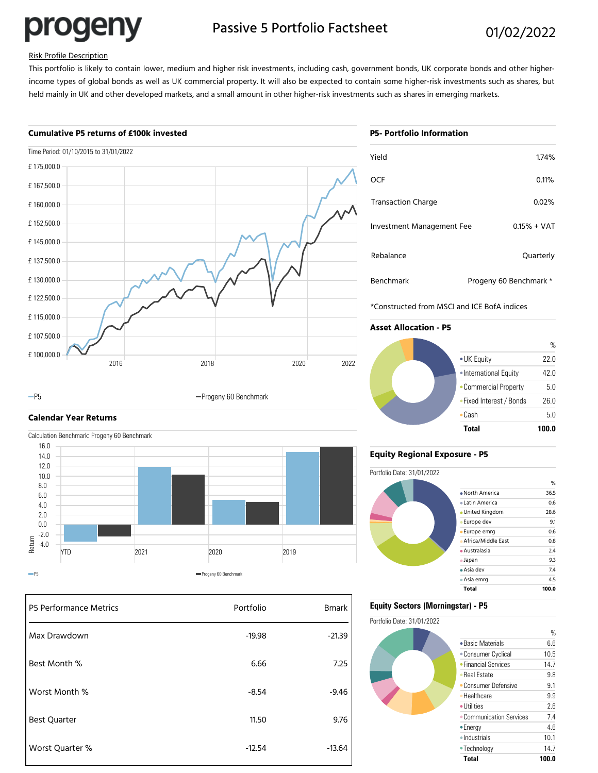progeny

# Passive 5 Portfolio Factsheet 01/02/2022

#### Risk Profile Description

This portfolio is likely to contain lower, medium and higher risk investments, including cash, government bonds, UK corporate bonds and other higherincome types of global bonds as well as UK commercial property. It will also be expected to contain some higher-risk investments such as shares, but held mainly in UK and other developed markets, and a small amount in other higher-risk investments such as shares in emerging markets.

#### **Cumulative P5 returns of £100k invested**





### **Calendar Year Returns**



| P5 Performance Metrics | Portfolio | <b>Bmark</b> |
|------------------------|-----------|--------------|
| Max Drawdown           | $-19.98$  | $-21.39$     |
| Best Month %           | 6.66      | 7.25         |
| Worst Month %          | $-8.54$   | $-9.46$      |
| <b>Best Quarter</b>    | 11.50     | 9.76         |
| Worst Quarter %        | $-12.54$  | $-13.64$     |

## **P5- Portfolio Information**

| Yield                     | 1.74%                  |
|---------------------------|------------------------|
| OCF                       | 0.11%                  |
| <b>Transaction Charge</b> | 0.02%                  |
| Investment Management Fee | $0.15% + VAT$          |
| Rebalance                 | Quarterly              |
| <b>Benchmark</b>          | Progeny 60 Benchmark * |

\*Constructed from MSCI and ICE BofA indices

### **Asset Allocation - P5**



#### **Equity Regional Exposure - P5**



#### **Equity Sectors (Morningstar) - P5**